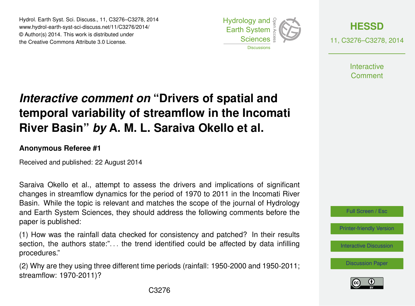Hydrol. Earth Syst. Sci. Discuss., 11, C3276–C3278, 2014 www.hydrol-earth-syst-sci-discuss.net/11/C3276/2014/ © Author(s) 2014. This work is distributed under the Creative Commons Attribute 3.0 License.





11, C3276–C3278, 2014

**Interactive** Comment

## *Interactive comment on* **"Drivers of spatial and temporal variability of streamflow in the Incomati River Basin"** *by* **A. M. L. Saraiva Okello et al.**

## **Anonymous Referee #1**

Received and published: 22 August 2014

Saraiva Okello et al., attempt to assess the drivers and implications of significant changes in streamflow dynamics for the period of 1970 to 2011 in the Incomati River Basin. While the topic is relevant and matches the scope of the journal of Hydrology and Earth System Sciences, they should address the following comments before the paper is published:

(1) How was the rainfall data checked for consistency and patched? In their results section, the authors state:"... the trend identified could be affected by data infilling procedures."

(2) Why are they using three different time periods (rainfall: 1950-2000 and 1950-2011; streamflow: 1970-2011)?



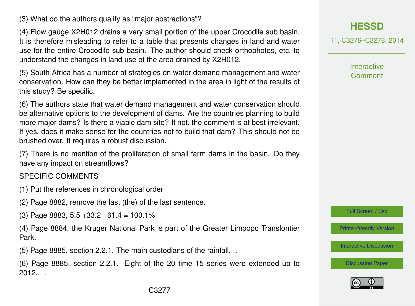(3) What do the authors qualify as "major abstractions"?

(4) Flow gauge X2H012 drains a very small portion of the upper Crocodile sub basin. It is therefore misleading to refer to a table that presents changes in land and water use for the entire Crocodile sub basin. The author should check orthophotos, etc, to understand the changes in land use of the area drained by X2H012.

(5) South Africa has a number of strategies on water demand management and water conservation. How can they be better implemented in the area in light of the results of this study? Be specific.

(6) The authors state that water demand management and water conservation should be alternative options to the development of dams. Are the countries planning to build more major dams? Is there a viable dam site? If not, the comment is at best irrelevant. If yes, does it make sense for the countries not to build that dam? This should not be brushed over. It requires a robust discussion.

(7) There is no mention of the proliferation of small farm dams in the basin. Do they have any impact on streamflows?

SPECIFIC COMMENTS

- (1) Put the references in chronological order
- (2) Page 8882, remove the last (the) of the last sentence.

(3) Page 8883, 5.5 +33.2 +61.4 = 100.1%

(4) Page 8884, the Kruger National Park is part of the Greater Limpopo Transfontier Park.

(5) Page 8885, section 2.2.1. The main custodians of the rainfall. . .

(6) Page 8885, section 2.2.1. Eight of the 20 time 15 series were extended up to  $2012,...$ 



11, C3276–C3278, 2014

**Interactive Comment** 

Full Screen / Esc

[Printer-friendly Version](http://www.hydrol-earth-syst-sci-discuss.net/11/C3276/2014/hessd-11-C3276-2014-print.pdf)

[Interactive Discussion](http://www.hydrol-earth-syst-sci-discuss.net/11/8879/2014/hessd-11-8879-2014-discussion.html)

[Discussion Paper](http://www.hydrol-earth-syst-sci-discuss.net/11/8879/2014/hessd-11-8879-2014.pdf)